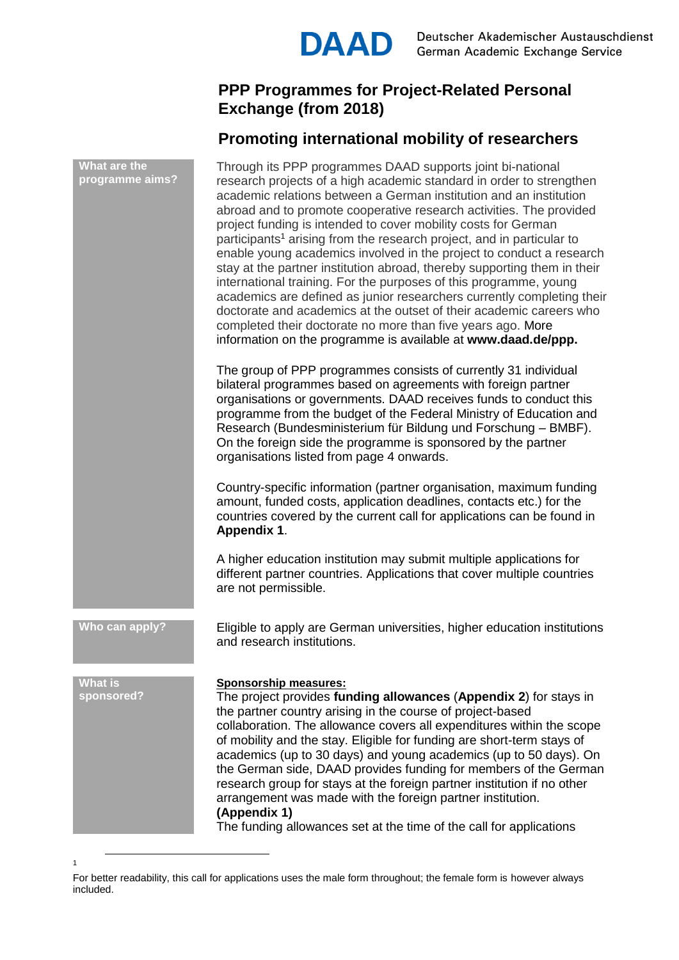

### **PPP Programmes for Project-Related Personal Exchange (from 2018)**

## **Promoting international mobility of researchers**

| What are the<br>programme aims? | Through its PPP programmes DAAD supports joint bi-national<br>research projects of a high academic standard in order to strengthen<br>academic relations between a German institution and an institution<br>abroad and to promote cooperative research activities. The provided<br>project funding is intended to cover mobility costs for German<br>participants <sup>1</sup> arising from the research project, and in particular to<br>enable young academics involved in the project to conduct a research<br>stay at the partner institution abroad, thereby supporting them in their<br>international training. For the purposes of this programme, young<br>academics are defined as junior researchers currently completing their<br>doctorate and academics at the outset of their academic careers who<br>completed their doctorate no more than five years ago. More<br>information on the programme is available at www.daad.de/ppp. |
|---------------------------------|--------------------------------------------------------------------------------------------------------------------------------------------------------------------------------------------------------------------------------------------------------------------------------------------------------------------------------------------------------------------------------------------------------------------------------------------------------------------------------------------------------------------------------------------------------------------------------------------------------------------------------------------------------------------------------------------------------------------------------------------------------------------------------------------------------------------------------------------------------------------------------------------------------------------------------------------------|
|                                 | The group of PPP programmes consists of currently 31 individual<br>bilateral programmes based on agreements with foreign partner<br>organisations or governments. DAAD receives funds to conduct this<br>programme from the budget of the Federal Ministry of Education and<br>Research (Bundesministerium für Bildung und Forschung - BMBF).<br>On the foreign side the programme is sponsored by the partner<br>organisations listed from page 4 onwards.                                                                                                                                                                                                                                                                                                                                                                                                                                                                                      |
|                                 | Country-specific information (partner organisation, maximum funding<br>amount, funded costs, application deadlines, contacts etc.) for the<br>countries covered by the current call for applications can be found in<br><b>Appendix 1.</b>                                                                                                                                                                                                                                                                                                                                                                                                                                                                                                                                                                                                                                                                                                       |
|                                 | A higher education institution may submit multiple applications for<br>different partner countries. Applications that cover multiple countries<br>are not permissible.                                                                                                                                                                                                                                                                                                                                                                                                                                                                                                                                                                                                                                                                                                                                                                           |
| Who can apply?                  | Eligible to apply are German universities, higher education institutions<br>and research institutions.                                                                                                                                                                                                                                                                                                                                                                                                                                                                                                                                                                                                                                                                                                                                                                                                                                           |
| <b>What is</b><br>sponsored?    | <b>Sponsorship measures:</b><br>The project provides funding allowances (Appendix 2) for stays in<br>the partner country arising in the course of project-based<br>collaboration. The allowance covers all expenditures within the scope<br>of mobility and the stay. Eligible for funding are short-term stays of<br>academics (up to 30 days) and young academics (up to 50 days). On<br>the German side, DAAD provides funding for members of the German<br>research group for stays at the foreign partner institution if no other<br>arrangement was made with the foreign partner institution.<br>(Appendix 1)<br>The funding allowances set at the time of the call for applications                                                                                                                                                                                                                                                      |

l

1

For better readability, this call for applications uses the male form throughout; the female form is however always included.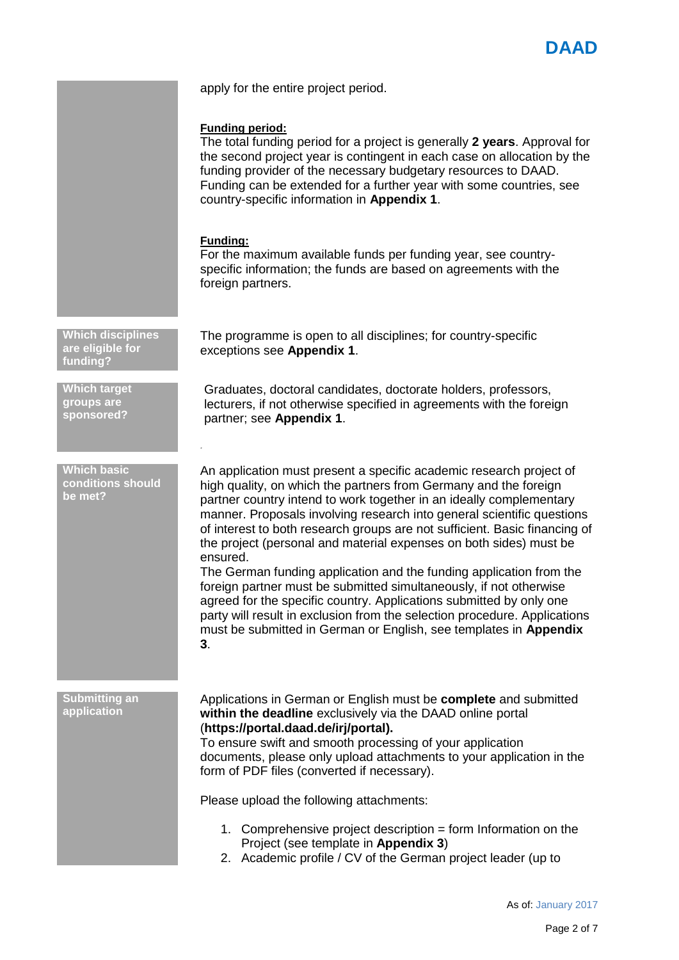apply for the entire project period.

#### **Funding period:**

The total funding period for a project is generally **2 years**. Approval for the second project year is contingent in each case on allocation by the funding provider of the necessary budgetary resources to DAAD. Funding can be extended for a further year with some countries, see country-specific information in **Appendix 1**.

#### **Funding:**

*.*

For the maximum available funds per funding year, see countryspecific information; the funds are based on agreements with the foreign partners.

The programme is open to all disciplines; for country-specific exceptions see **Appendix 1**.

Graduates, doctoral candidates, doctorate holders, professors, lecturers, if not otherwise specified in agreements with the foreign partner; see **Appendix 1**.

An application must present a specific academic research project of high quality, on which the partners from Germany and the foreign partner country intend to work together in an ideally complementary manner. Proposals involving research into general scientific questions of interest to both research groups are not sufficient. Basic financing of the project (personal and material expenses on both sides) must be ensured.

The German funding application and the funding application from the foreign partner must be submitted simultaneously, if not otherwise agreed for the specific country. Applications submitted by only one party will result in exclusion from the selection procedure. Applications must be submitted in German or English, see templates in **Appendix 3**.

**Submitting an application**

#### Applications in German or English must be **complete** and submitted **within the deadline** exclusively via the DAAD online portal (**[https://portal.daad.de/irj/portal\)](https://portal.daad.de/irj/portal).**

To ensure swift and smooth processing of your application documents, please only upload attachments to your application in the form of PDF files (converted if necessary).

Please upload the following attachments:

- 1. Comprehensive project description = form Information on the Project (see template in **Appendix 3**)
- 2. Academic profile / CV of the German project leader (up to

**Which disciplines are eligible for funding?**

**Which target groups are sponsored?**

**Which basic conditions should be met?**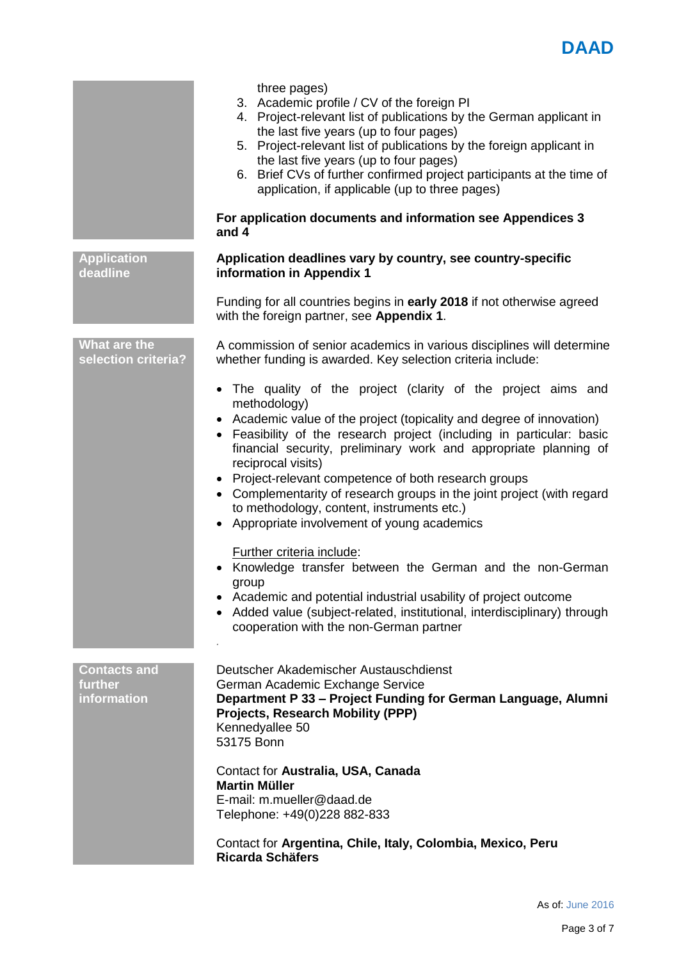

|                                               | three pages)<br>3. Academic profile / CV of the foreign PI<br>4. Project-relevant list of publications by the German applicant in<br>the last five years (up to four pages)<br>5. Project-relevant list of publications by the foreign applicant in<br>the last five years (up to four pages)<br>6. Brief CVs of further confirmed project participants at the time of<br>application, if applicable (up to three pages)                                                                                                                                      |  |  |
|-----------------------------------------------|---------------------------------------------------------------------------------------------------------------------------------------------------------------------------------------------------------------------------------------------------------------------------------------------------------------------------------------------------------------------------------------------------------------------------------------------------------------------------------------------------------------------------------------------------------------|--|--|
|                                               | For application documents and information see Appendices 3<br>and 4                                                                                                                                                                                                                                                                                                                                                                                                                                                                                           |  |  |
| <b>Application</b><br>deadline                | Application deadlines vary by country, see country-specific<br>information in Appendix 1                                                                                                                                                                                                                                                                                                                                                                                                                                                                      |  |  |
|                                               | Funding for all countries begins in early 2018 if not otherwise agreed<br>with the foreign partner, see Appendix 1.                                                                                                                                                                                                                                                                                                                                                                                                                                           |  |  |
| What are the<br>selection criteria?           | A commission of senior academics in various disciplines will determine<br>whether funding is awarded. Key selection criteria include:                                                                                                                                                                                                                                                                                                                                                                                                                         |  |  |
|                                               | The quality of the project (clarity of the project aims and<br>methodology)<br>Academic value of the project (topicality and degree of innovation)<br>Feasibility of the research project (including in particular: basic<br>financial security, preliminary work and appropriate planning of<br>reciprocal visits)<br>Project-relevant competence of both research groups<br>$\bullet$<br>• Complementarity of research groups in the joint project (with regard<br>to methodology, content, instruments etc.)<br>Appropriate involvement of young academics |  |  |
|                                               | Further criteria include:<br>Knowledge transfer between the German and the non-German<br>group<br>Academic and potential industrial usability of project outcome<br>Added value (subject-related, institutional, interdisciplinary) through<br>cooperation with the non-German partner                                                                                                                                                                                                                                                                        |  |  |
| <b>Contacts and</b><br>further<br>information | Deutscher Akademischer Austauschdienst<br>German Academic Exchange Service<br>Department P 33 - Project Funding for German Language, Alumni<br><b>Projects, Research Mobility (PPP)</b><br>Kennedyallee 50<br>53175 Bonn                                                                                                                                                                                                                                                                                                                                      |  |  |
|                                               | Contact for Australia, USA, Canada<br><b>Martin Müller</b><br>E-mail: m.mueller@daad.de<br>Telephone: +49(0)228 882-833                                                                                                                                                                                                                                                                                                                                                                                                                                       |  |  |
|                                               | Contact for Argentina, Chile, Italy, Colombia, Mexico, Peru<br><b>Ricarda Schäfers</b>                                                                                                                                                                                                                                                                                                                                                                                                                                                                        |  |  |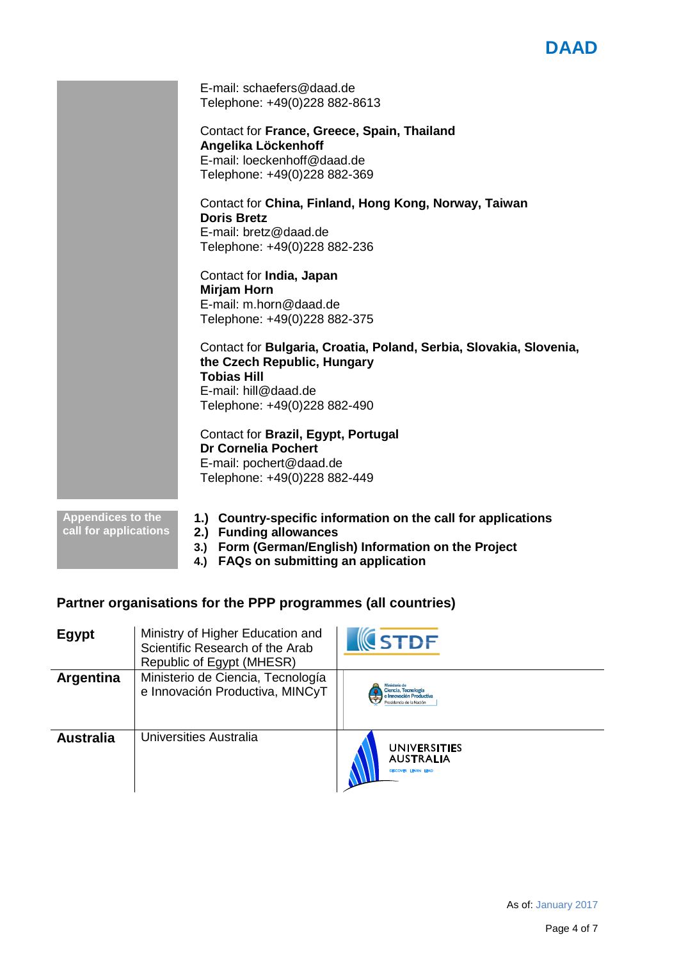## **DAAD**

| E-mail: schaefers@daad.de<br>Telephone: +49(0)228 882-8613                                                              |
|-------------------------------------------------------------------------------------------------------------------------|
| Contact for France, Greece, Spain, Thailand<br>Angelika Löckenhoff<br>E-mail: loeckenhoff@daad.de                       |
| Telephone: +49(0)228 882-369                                                                                            |
| Contact for China, Finland, Hong Kong, Norway, Taiwan<br><b>Doris Bretz</b><br>E-mail: bretz@daad.de                    |
| Telephone: +49(0)228 882-236                                                                                            |
| Contact for India, Japan<br><b>Mirjam Horn</b>                                                                          |
| E-mail: m.horn@daad.de<br>Telephone: +49(0)228 882-375                                                                  |
| Contact for Bulgaria, Croatia, Poland, Serbia, Slovakia, Slovenia,<br>the Czech Republic, Hungary<br><b>Tobias Hill</b> |
| E-mail: hill@daad.de<br>Telephone: +49(0)228 882-490                                                                    |
| Contact for Brazil, Egypt, Portugal<br><b>Dr Cornelia Pochert</b>                                                       |
| E-mail: pochert@daad.de<br>Telephone: +49(0)228 882-449                                                                 |

**Appendices to the call for applications**

- **1.) Country-specific information on the call for applications**
- **2.) Funding allowances**
- **3.) Form (German/English) Information on the Project**
- **4.) FAQs on submitting an application**

### **Partner organisations for the PPP programmes (all countries)**

| Egypt            | Ministry of Higher Education and<br>Scientific Research of the Arab<br>Republic of Egypt (MHESR) | <b>ICSTDF</b>                                                  |
|------------------|--------------------------------------------------------------------------------------------------|----------------------------------------------------------------|
| Argentina        | Ministerio de Ciencia, Tecnología<br>e Innovación Productiva, MINCyT                             | Ciencia, Tecnología                                            |
| <b>Australia</b> | Universities Australia                                                                           | <b>UNIVERSITIES</b><br><b>AUSTRALIA</b><br>DISCOVER LEARN LEAD |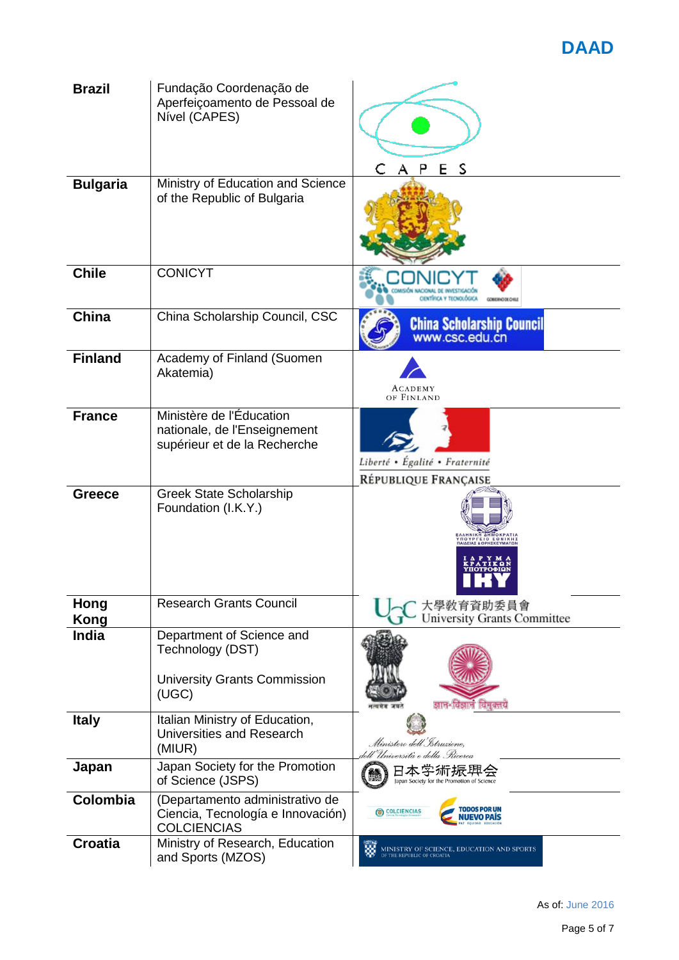# **DAAD**

| <b>Brazil</b>       | Fundação Coordenação de<br>Aperfeiçoamento de Pessoal de<br>Nível (CAPES)                     | Р<br>s<br>Е                                                    |
|---------------------|-----------------------------------------------------------------------------------------------|----------------------------------------------------------------|
| <b>Bulgaria</b>     | Ministry of Education and Science<br>of the Republic of Bulgaria                              |                                                                |
| <b>Chile</b>        | <b>CONICYT</b>                                                                                | CONTRADOLOGIC                                                  |
| China               | China Scholarship Council, CSC                                                                | <b>China Scholarship Council</b><br>www.csc.edu.cn             |
| <b>Finland</b>      | Academy of Finland (Suomen<br>Akatemia)                                                       | ACADEMY<br>OF FINLAND                                          |
| <b>France</b>       | Ministère de l'Éducation<br>nationale, de l'Enseignement<br>supérieur et de la Recherche      | Liberté • Égalité • Fraternité<br>RÉPUBLIQUE FRANÇAISE         |
| <b>Greece</b>       | <b>Greek State Scholarship</b><br>Foundation (I.K.Y.)                                         | ΞΛΛΗΝΙΚΗ ΔΗΜΟΚΡΑΊ<br>ΥΠΟΥΡΓΕΙΟ ΕΘΝΙΚ<br>ΠΑΙΔΕΙΑΣ&ΘΡΗΣΚΕΥΜΑΊ    |
| Hong<br><b>Kong</b> | <b>Research Grants Council</b>                                                                | 大學敎育資助委員會                                                      |
|                     |                                                                                               | <b>University Grants Committee</b>                             |
| India               | Department of Science and<br>Technology (DST)<br><b>University Grants Commission</b><br>(UGC) | ज्ञान-विज्ञानं विमुक्तये<br>मन्दर्भ ब                          |
| <b>Italy</b>        | Italian Ministry of Education,<br>Universities and Research<br>(MIUR)                         | Ministero dell Istruzione,<br>tell'Università e della Pricerca |
| Japan               | Japan Society for the Promotion<br>of Science (JSPS)                                          | 本字術振.<br>Japan Society for the Promotion of Science            |
| Colombia            | (Departamento administrativo de<br>Ciencia, Tecnología e Innovación)<br><b>COLCIENCIAS</b>    | TODOS POR UN<br>COLCIENCIAS<br><b>NUEVO PAIS</b>               |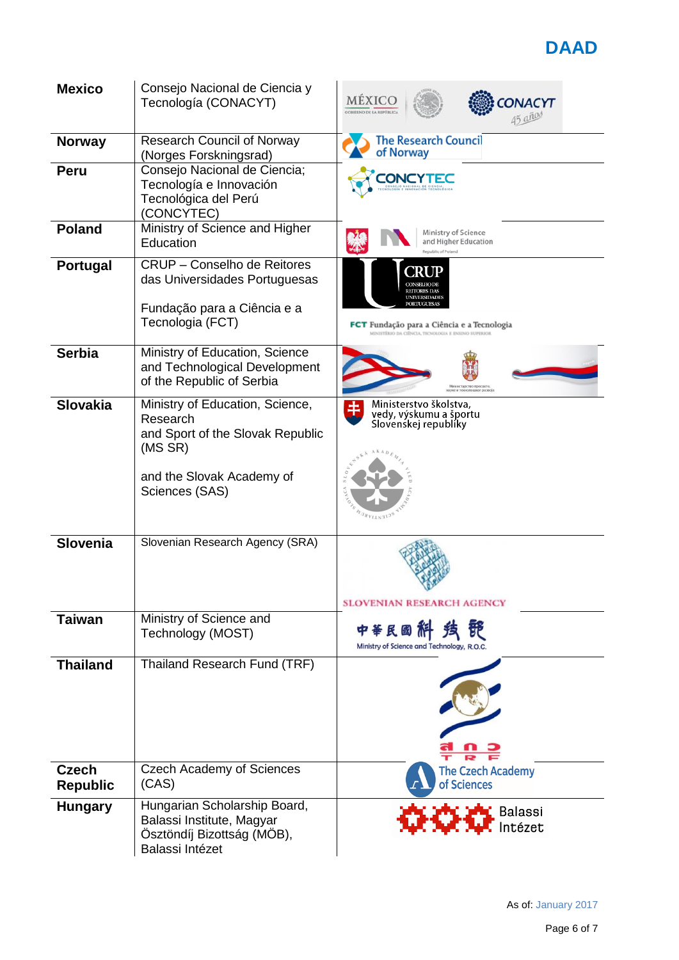

| <b>Mexico</b>                   | Consejo Nacional de Ciencia y<br>Tecnología (CONACYT)                                                                                     | MÉXICO<br><b>ONACYT</b><br><b>GOBIERNO DE LA REPÚBLIC</b>                                                                                               |
|---------------------------------|-------------------------------------------------------------------------------------------------------------------------------------------|---------------------------------------------------------------------------------------------------------------------------------------------------------|
| <b>Norway</b>                   | <b>Research Council of Norway</b><br>(Norges Forskningsrad)                                                                               | <b>The Research Council</b><br>of Norway                                                                                                                |
| <b>Peru</b>                     | Consejo Nacional de Ciencia;<br>Tecnología e Innovación<br>Tecnológica del Perú<br>(CONCYTEC)                                             | <b>ONCYTEC</b>                                                                                                                                          |
| <b>Poland</b>                   | Ministry of Science and Higher<br>Education                                                                                               | Ministry of Science<br>and Higher Education<br>Republic of Poland                                                                                       |
| Portugal                        | <b>CRUP – Conselho de Reitores</b><br>das Universidades Portuguesas<br>Fundação para a Ciência e a<br>Tecnologia (FCT)                    | CRUP<br>UNIVERSIDADES<br><b>PORTUGUESAS</b><br><b>FCT</b> Fundação para a Ciência e a Tecnologia<br>MINISTÍRIO DA CIÊNCIA, TECNOLOGIA E ENSINO SUPERIOR |
| <b>Serbia</b>                   | Ministry of Education, Science<br>and Technological Development<br>of the Republic of Serbia                                              | истарство просвете,                                                                                                                                     |
| <b>Slovakia</b>                 | Ministry of Education, Science,<br>Research<br>and Sport of the Slovak Republic<br>(MS SR)<br>and the Slovak Academy of<br>Sciences (SAS) | Ministerstvo školstva,<br>串<br>vedy, výskumu a športu<br>Slovenskej republiky<br>WANILNAIOS                                                             |
| <b>Slovenia</b>                 | Slovenian Research Agency (SRA)                                                                                                           | <b>SLOVENIAN RESEARCH AGENCY</b>                                                                                                                        |
| <b>Taiwan</b>                   | Ministry of Science and<br>Technology (MOST)                                                                                              | 中華民國<br>Ministry of Science and Technology, R.O.C.                                                                                                      |
| <b>Thailand</b>                 | Thailand Research Fund (TRF)                                                                                                              |                                                                                                                                                         |
| <b>Czech</b><br><b>Republic</b> | <b>Czech Academy of Sciences</b><br>(CAS)                                                                                                 | <b>The Czech Academy</b><br>of Sciences                                                                                                                 |
| <b>Hungary</b>                  | Hungarian Scholarship Board,<br>Balassi Institute, Magyar<br>Ösztöndíj Bizottság (MÖB),<br>Balassi Intézet                                | Balassi<br>itézet                                                                                                                                       |